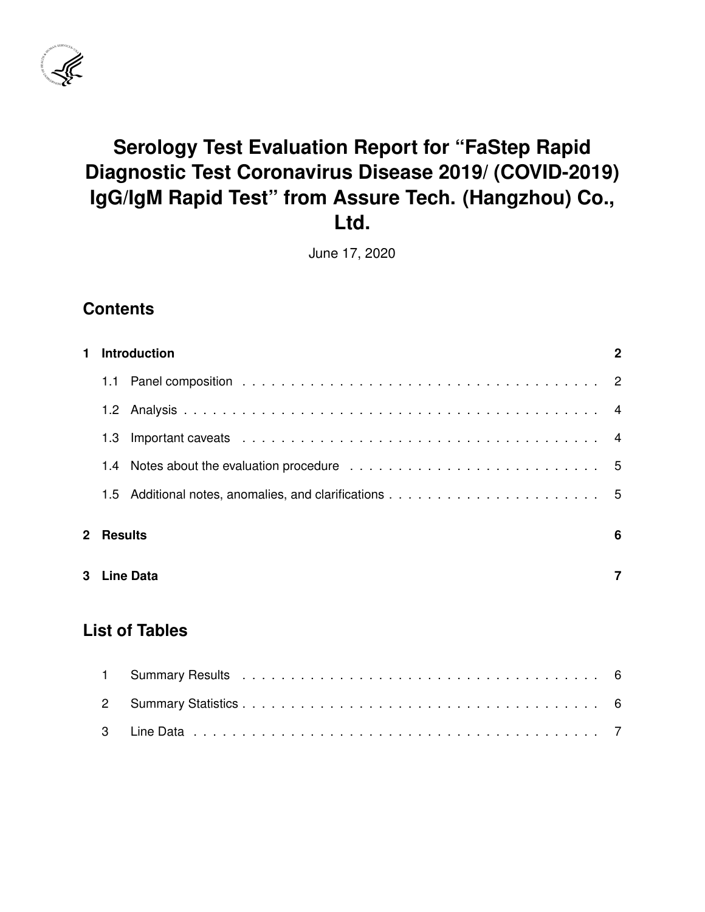

# **Serology Test Evaluation Report for "FaStep Rapid Diagnostic Test Coronavirus Disease 2019/ (COVID-2019) IgG/IgM Rapid Test" from Assure Tech. (Hangzhou) Co., Ltd.**

June 17, 2020

### **Contents**

| 1            |                       | <b>Introduction</b><br>$\mathbf{2}$ |                |  |  |  |  |  |  |  |  |  |  |  |
|--------------|-----------------------|-------------------------------------|----------------|--|--|--|--|--|--|--|--|--|--|--|
|              | 1.1                   |                                     |                |  |  |  |  |  |  |  |  |  |  |  |
|              |                       |                                     |                |  |  |  |  |  |  |  |  |  |  |  |
|              | 1.3                   |                                     | 4              |  |  |  |  |  |  |  |  |  |  |  |
|              |                       |                                     |                |  |  |  |  |  |  |  |  |  |  |  |
|              | $1.5^{\circ}$         |                                     |                |  |  |  |  |  |  |  |  |  |  |  |
| $\mathbf{2}$ | <b>Results</b>        |                                     | 6              |  |  |  |  |  |  |  |  |  |  |  |
| 3            |                       | <b>Line Data</b>                    | $\overline{7}$ |  |  |  |  |  |  |  |  |  |  |  |
|              | <b>List of Tables</b> |                                     |                |  |  |  |  |  |  |  |  |  |  |  |
|              | 1                     |                                     | -6             |  |  |  |  |  |  |  |  |  |  |  |
|              | $\overline{2}$        |                                     | 6              |  |  |  |  |  |  |  |  |  |  |  |

[3 Line Data](#page-7-1) . . . . . . . . . . . . . . . . . . . . . . . . . . . . . . . . . . . . . . . . . . 7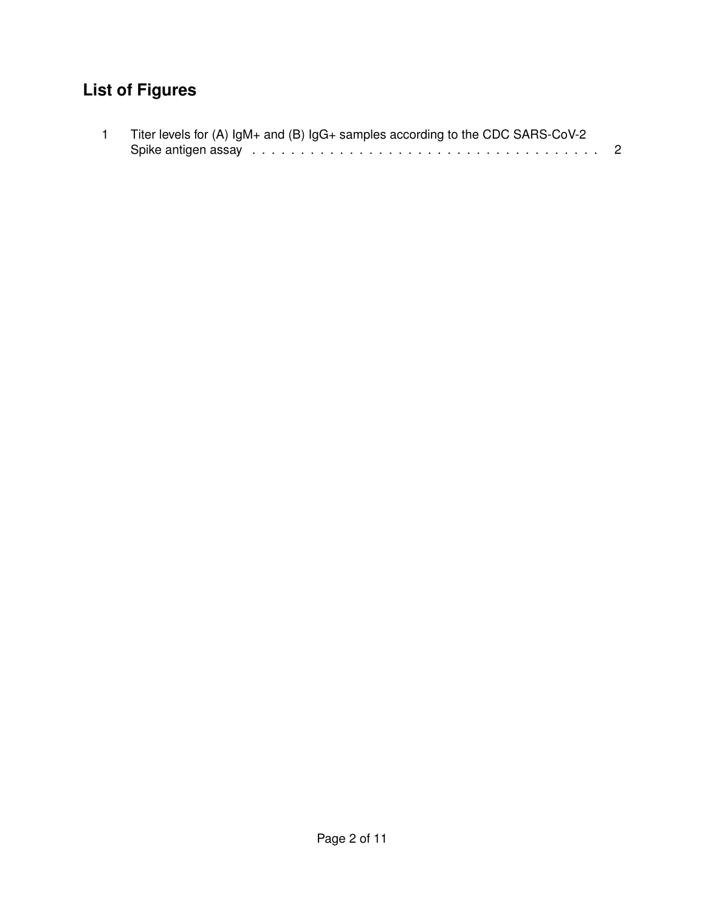## **List of Figures**

| Titer levels for $(A)$ IgM+ and $(B)$ IgG+ samples according to the CDC SARS-CoV-2 |  |
|------------------------------------------------------------------------------------|--|
|                                                                                    |  |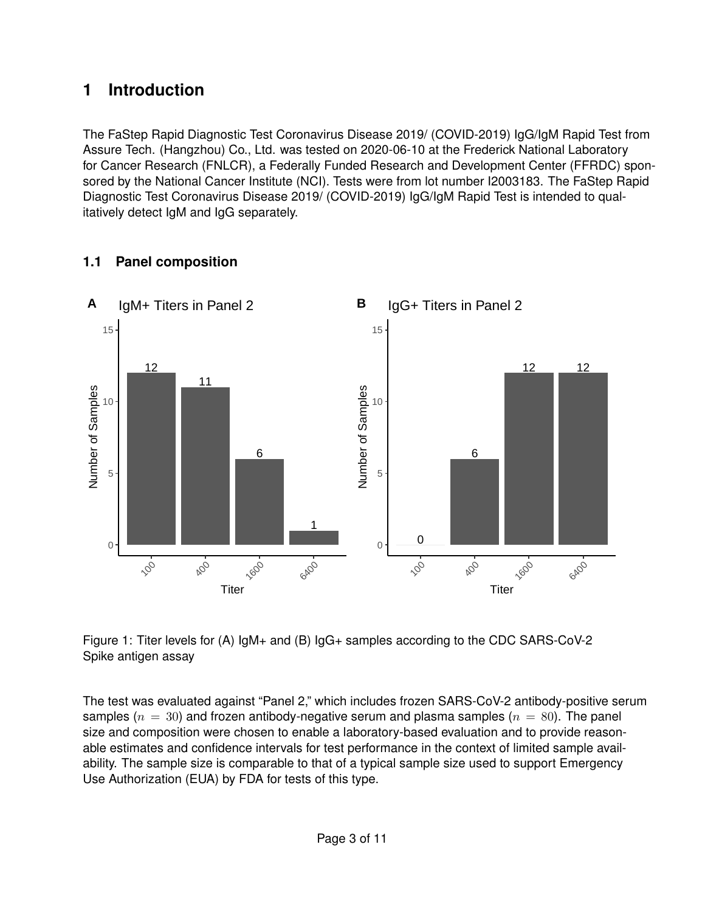### <span id="page-2-0"></span>**1 Introduction**

The FaStep Rapid Diagnostic Test Coronavirus Disease 2019/ (COVID-2019) IgG/IgM Rapid Test from Assure Tech. (Hangzhou) Co., Ltd. was tested on 2020-06-10 at the Frederick National Laboratory for Cancer Research (FNLCR), a Federally Funded Research and Development Center (FFRDC) sponsored by the National Cancer Institute (NCI). Tests were from lot number I2003183. The FaStep Rapid Diagnostic Test Coronavirus Disease 2019/ (COVID-2019) IgG/IgM Rapid Test is intended to qualitatively detect IgM and IgG separately.



#### <span id="page-2-1"></span>**1.1 Panel composition**

<span id="page-2-2"></span>Figure 1: Titer levels for (A) IgM+ and (B) IgG+ samples according to the CDC SARS-CoV-2 Spike antigen assay

The test was evaluated against "Panel 2," which includes frozen SARS-CoV-2 antibody-positive serum samples ( $n = 30$ ) and frozen antibody-negative serum and plasma samples ( $n = 80$ ). The panel size and composition were chosen to enable a laboratory-based evaluation and to provide reasonable estimates and confidence intervals for test performance in the context of limited sample availability. The sample size is comparable to that of a typical sample size used to support Emergency Use Authorization (EUA) by FDA for tests of this type.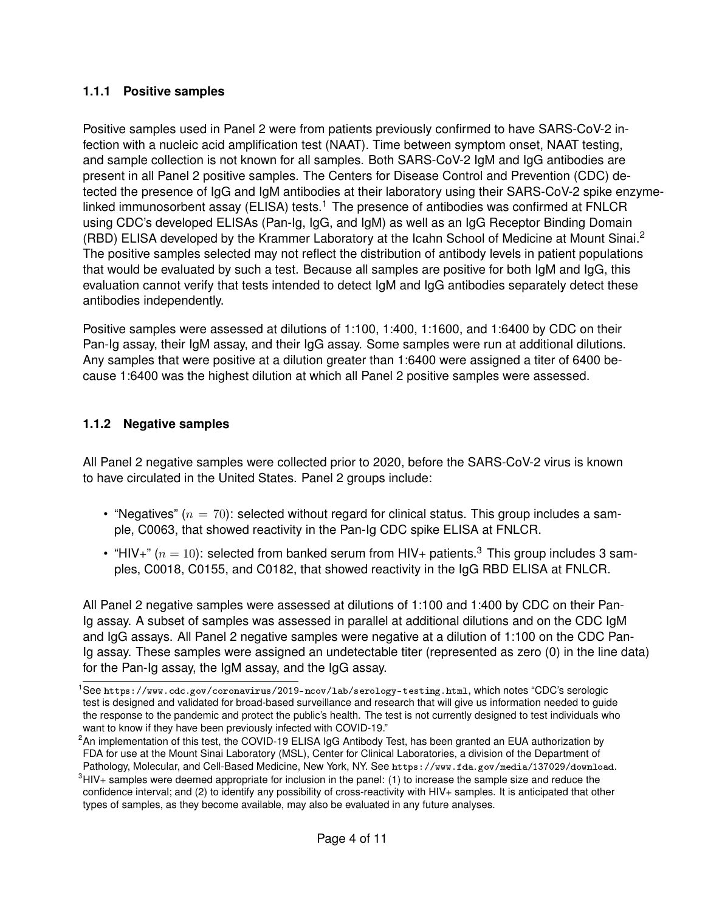#### **1.1.1 Positive samples**

Positive samples used in Panel 2 were from patients previously confirmed to have SARS-CoV-2 infection with a nucleic acid amplification test (NAAT). Time between symptom onset, NAAT testing, and sample collection is not known for all samples. Both SARS-CoV-2 IgM and IgG antibodies are present in all Panel 2 positive samples. The Centers for Disease Control and Prevention (CDC) detected the presence of IgG and IgM antibodies at their laboratory using their SARS-CoV-2 spike enzyme-linked immunosorbent assay (ELISA) tests.<sup>[1](#page-3-0)</sup> The presence of antibodies was confirmed at FNLCR using CDC's developed ELISAs (Pan-Ig, IgG, and IgM) as well as an IgG Receptor Binding Domain (RBD) ELISA developed by the Krammer Laboratory at the Icahn School of Medicine at Mount Sinai.<sup>[2](#page-3-1)</sup> The positive samples selected may not reflect the distribution of antibody levels in patient populations that would be evaluated by such a test. Because all samples are positive for both IgM and IgG, this evaluation cannot verify that tests intended to detect IgM and IgG antibodies separately detect these antibodies independently.

Positive samples were assessed at dilutions of 1:100, 1:400, 1:1600, and 1:6400 by CDC on their Pan-Ig assay, their IgM assay, and their IgG assay. Some samples were run at additional dilutions. Any samples that were positive at a dilution greater than 1:6400 were assigned a titer of 6400 because 1:6400 was the highest dilution at which all Panel 2 positive samples were assessed.

#### **1.1.2 Negative samples**

All Panel 2 negative samples were collected prior to 2020, before the SARS-CoV-2 virus is known to have circulated in the United States. Panel 2 groups include:

- "Negatives" ( $n = 70$ ): selected without regard for clinical status. This group includes a sample, C0063, that showed reactivity in the Pan-Ig CDC spike ELISA at FNLCR.
- "HIV+" ( $n = 10$ ): selected from banked serum from HIV+ patients.<sup>[3](#page-3-2)</sup> This group includes 3 samples, C0018, C0155, and C0182, that showed reactivity in the IgG RBD ELISA at FNLCR.

All Panel 2 negative samples were assessed at dilutions of 1:100 and 1:400 by CDC on their Pan-Ig assay. A subset of samples was assessed in parallel at additional dilutions and on the CDC IgM and IgG assays. All Panel 2 negative samples were negative at a dilution of 1:100 on the CDC Pan-Ig assay. These samples were assigned an undetectable titer (represented as zero (0) in the line data) for the Pan-Ig assay, the IgM assay, and the IgG assay.

<span id="page-3-0"></span><sup>1</sup>See <https://www.cdc.gov/coronavirus/2019-ncov/lab/serology-testing.html>, which notes "CDC's serologic test is designed and validated for broad-based surveillance and research that will give us information needed to guide the response to the pandemic and protect the public's health. The test is not currently designed to test individuals who want to know if they have been previously infected with COVID-19."

<span id="page-3-1"></span><sup>&</sup>lt;sup>2</sup>An implementation of this test, the COVID-19 ELISA IgG Antibody Test, has been granted an EUA authorization by FDA for use at the Mount Sinai Laboratory (MSL), Center for Clinical Laboratories, a division of the Department of Pathology, Molecular, and Cell-Based Medicine, New York, NY. See <https://www.fda.gov/media/137029/download>.

<span id="page-3-2"></span> $3HIV+$  samples were deemed appropriate for inclusion in the panel: (1) to increase the sample size and reduce the confidence interval; and (2) to identify any possibility of cross-reactivity with HIV+ samples. It is anticipated that other types of samples, as they become available, may also be evaluated in any future analyses.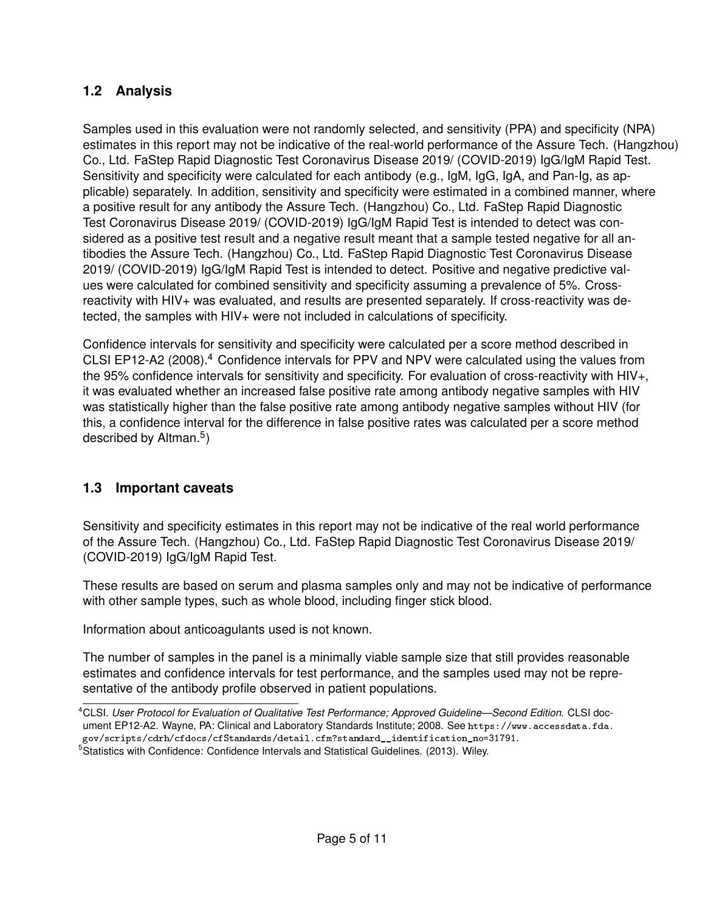#### <span id="page-4-0"></span>**1.2 Analysis**

Samples used in this evaluation were not randomly selected, and sensitivity (PPA) and specificity (NPA) estimates in this report may not be indicative of the real-world performance of the Assure Tech. (Hangzhou) Co., Ltd. FaStep Rapid Diagnostic Test Coronavirus Disease 2019/ (COVID-2019) IgG/IgM Rapid Test. Sensitivity and specificity were calculated for each antibody (e.g., IgM, IgG, IgA, and Pan-Ig, as applicable) separately. In addition, sensitivity and specificity were estimated in a combined manner, where a positive result for any antibody the Assure Tech. (Hangzhou) Co., Ltd. FaStep Rapid Diagnostic Test Coronavirus Disease 2019/ (COVID-2019) IgG/IgM Rapid Test is intended to detect was considered as a positive test result and a negative result meant that a sample tested negative for all antibodies the Assure Tech. (Hangzhou) Co., Ltd. FaStep Rapid Diagnostic Test Coronavirus Disease 2019/ (COVID-2019) IgG/IgM Rapid Test is intended to detect. Positive and negative predictive values were calculated for combined sensitivity and specificity assuming a prevalence of 5%. Crossreactivity with HIV+ was evaluated, and results are presented separately. If cross-reactivity was detected, the samples with HIV+ were not included in calculations of specificity.

Confidence intervals for sensitivity and specificity were calculated per a score method described in CLSI EP12-A2 (2008).[4](#page-4-2) Confidence intervals for PPV and NPV were calculated using the values from the 95% confidence intervals for sensitivity and specificity. For evaluation of cross-reactivity with HIV+, it was evaluated whether an increased false positive rate among antibody negative samples with HIV was statistically higher than the false positive rate among antibody negative samples without HIV (for this, a confidence interval for the difference in false positive rates was calculated per a score method described by Altman.<sup>[5](#page-4-3)</sup>)

#### <span id="page-4-1"></span>**1.3 Important caveats**

Sensitivity and specificity estimates in this report may not be indicative of the real world performance of the Assure Tech. (Hangzhou) Co., Ltd. FaStep Rapid Diagnostic Test Coronavirus Disease 2019/ (COVID-2019) IgG/IgM Rapid Test.

These results are based on serum and plasma samples only and may not be indicative of performance with other sample types, such as whole blood, including finger stick blood.

Information about anticoagulants used is not known.

The number of samples in the panel is a minimally viable sample size that still provides reasonable estimates and confidence intervals for test performance, and the samples used may not be representative of the antibody profile observed in patient populations.

<span id="page-4-3"></span><span id="page-4-2"></span><sup>4</sup>CLSI. *User Protocol for Evaluation of Qualitative Test Performance; Approved Guideline—Second Edition*. CLSI document EP12-A2. Wayne, PA: Clinical and Laboratory Standards Institute; 2008. See [https://www.accessdata.fda.](https://www.accessdata.fda.gov/scripts/cdrh/cfdocs/cfStandards/detail.cfm?standard__identification_no=31791) [gov/scripts/cdrh/cfdocs/cfStandards/detail.cfm?standard\\_\\_identification\\_no=31791](https://www.accessdata.fda.gov/scripts/cdrh/cfdocs/cfStandards/detail.cfm?standard__identification_no=31791). <sup>5</sup>Statistics with Confidence: Confidence Intervals and Statistical Guidelines. (2013). Wiley.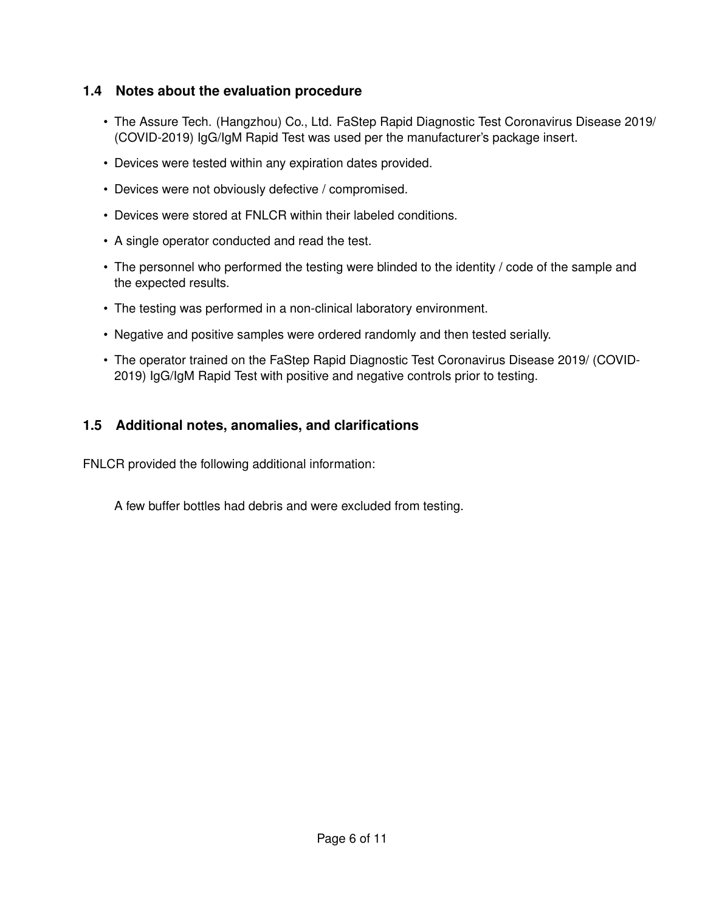#### <span id="page-5-0"></span>**1.4 Notes about the evaluation procedure**

- The Assure Tech. (Hangzhou) Co., Ltd. FaStep Rapid Diagnostic Test Coronavirus Disease 2019/ (COVID-2019) IgG/IgM Rapid Test was used per the manufacturer's package insert.
- Devices were tested within any expiration dates provided.
- Devices were not obviously defective / compromised.
- Devices were stored at FNLCR within their labeled conditions.
- A single operator conducted and read the test.
- The personnel who performed the testing were blinded to the identity / code of the sample and the expected results.
- The testing was performed in a non-clinical laboratory environment.
- Negative and positive samples were ordered randomly and then tested serially.
- The operator trained on the FaStep Rapid Diagnostic Test Coronavirus Disease 2019/ (COVID-2019) IgG/IgM Rapid Test with positive and negative controls prior to testing.

#### <span id="page-5-1"></span>**1.5 Additional notes, anomalies, and clarifications**

FNLCR provided the following additional information:

A few buffer bottles had debris and were excluded from testing.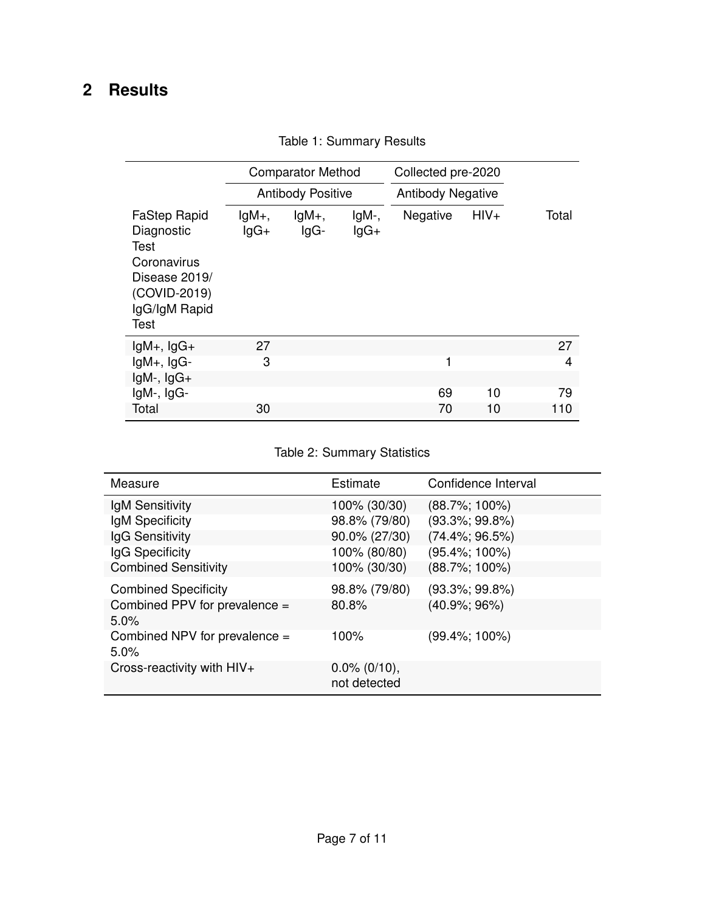## <span id="page-6-1"></span><span id="page-6-0"></span>**2 Results**

|                                                                                                                    |                     | <b>Comparator Method</b> |                 | Collected pre-2020       |        |       |  |
|--------------------------------------------------------------------------------------------------------------------|---------------------|--------------------------|-----------------|--------------------------|--------|-------|--|
|                                                                                                                    |                     | <b>Antibody Positive</b> |                 | <b>Antibody Negative</b> |        |       |  |
| <b>FaStep Rapid</b><br>Diagnostic<br>Test<br>Coronavirus<br>Disease 2019/<br>(COVID-2019)<br>IgG/IgM Rapid<br>Test | $lgM_{+}$<br>$lgG+$ | $lgM+$ ,<br>$lgG-$       | IgM-,<br>$lgG+$ | Negative                 | $HIV+$ | Total |  |
| $lgM+$ , $lgG+$                                                                                                    | 27                  |                          |                 |                          |        | 27    |  |
| $lgM+$ , $lgG-$                                                                                                    | 3                   |                          |                 | 1                        |        | 4     |  |
| $lgM-$ , $lgG+$                                                                                                    |                     |                          |                 |                          |        |       |  |
| $lgM-$ , $lgG-$                                                                                                    |                     |                          |                 | 69                       | 10     | 79    |  |
| Total                                                                                                              | 30                  |                          |                 | 70                       | 10     | 110   |  |

Table 1: Summary Results

Table 2: Summary Statistics

<span id="page-6-2"></span>

| Measure                               | Estimate                        | Confidence Interval |
|---------------------------------------|---------------------------------|---------------------|
| IgM Sensitivity                       | 100% (30/30)                    | $(88.7\%; 100\%)$   |
| IgM Specificity                       | 98.8% (79/80)                   | $(93.3\%; 99.8\%)$  |
| IgG Sensitivity                       | 90.0% (27/30)                   | $(74.4\%; 96.5\%)$  |
| IgG Specificity                       | 100% (80/80)                    | $(95.4\%; 100\%)$   |
| <b>Combined Sensitivity</b>           | 100% (30/30)                    | $(88.7\%; 100\%)$   |
| <b>Combined Specificity</b>           | 98.8% (79/80)                   | $(93.3\%; 99.8\%)$  |
| Combined PPV for prevalence =<br>5.0% | 80.8%                           | $(40.9\%; 96\%)$    |
| Combined NPV for prevalence =<br>5.0% | 100%                            | $(99.4\%; 100\%)$   |
| Cross-reactivity with HIV+            | $0.0\%$ (0/10),<br>not detected |                     |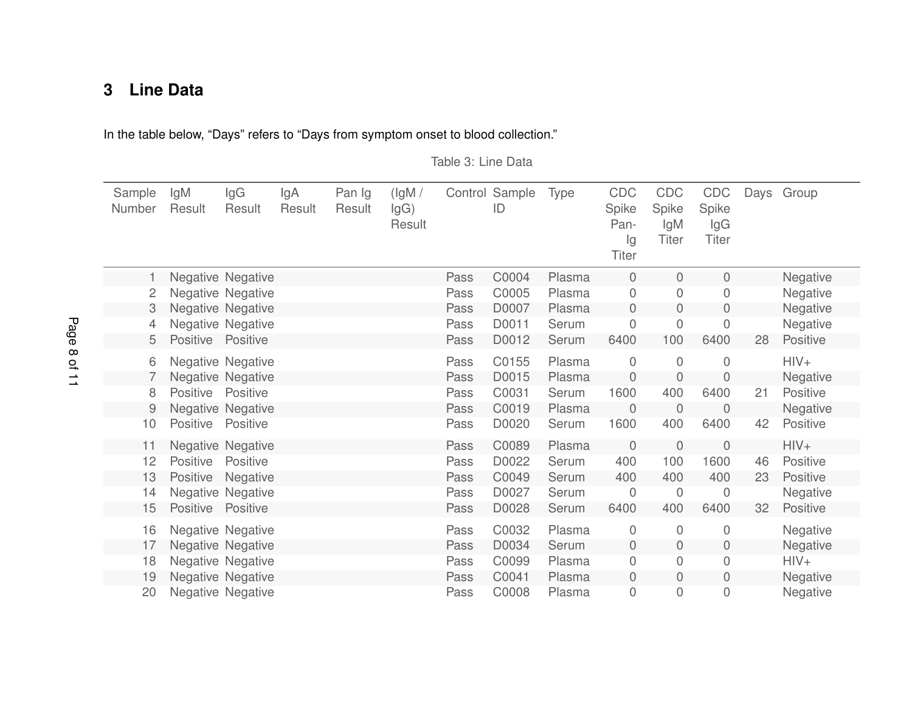## **3 Line Data**

<span id="page-7-1"></span>In the table below, "Days" refers to "Days from symptom onset to blood collection."

Table 3: Line Data

<span id="page-7-0"></span>

| Sample<br>Number | lgM<br>Result   | IgG<br>Result            | lgA<br>Result | Pan Ig<br>Result | (lgM/<br>lgG)<br>Result |      | Control Sample<br>ID | <b>Type</b> | CDC<br>Spike<br>Pan-<br>lg<br><b>Titer</b> | <b>CDC</b><br>Spike<br>lgM<br><b>Titer</b> | <b>CDC</b><br>Spike<br>lgG<br><b>Titer</b> | Days | Group           |
|------------------|-----------------|--------------------------|---------------|------------------|-------------------------|------|----------------------|-------------|--------------------------------------------|--------------------------------------------|--------------------------------------------|------|-----------------|
|                  |                 | <b>Negative Negative</b> |               |                  |                         | Pass | C0004                | Plasma      | $\mathbf 0$                                | 0                                          | 0                                          |      | Negative        |
| 2                |                 | Negative Negative        |               |                  |                         | Pass | C0005                | Plasma      | $\mathbf 0$                                | 0                                          | 0                                          |      | Negative        |
| 3                |                 | <b>Negative Negative</b> |               |                  |                         | Pass | D0007                | Plasma      | 0                                          | 0                                          | $\mathbf 0$                                |      | Negative        |
| 4                |                 | Negative Negative        |               |                  |                         | Pass | D0011                | Serum       | $\boldsymbol{0}$                           | 0                                          | 0                                          |      | Negative        |
| 5                | Positive        | Positive                 |               |                  |                         | Pass | D0012                | Serum       | 6400                                       | 100                                        | 6400                                       | 28   | Positive        |
| 6                |                 | <b>Negative Negative</b> |               |                  |                         | Pass | C0155                | Plasma      | 0                                          | 0                                          | 0                                          |      | $HIV+$          |
|                  |                 | <b>Negative Negative</b> |               |                  |                         | Pass | D0015                | Plasma      | $\mathbf 0$                                | 0                                          | $\overline{0}$                             |      | Negative        |
| 8                | <b>Positive</b> | Positive                 |               |                  |                         | Pass | C0031                | Serum       | 1600                                       | 400                                        | 6400                                       | 21   | Positive        |
| 9                |                 | Negative Negative        |               |                  |                         | Pass | C0019                | Plasma      | $\mathbf 0$                                | 0                                          | 0                                          |      | Negative        |
| 10               | Positive        | Positive                 |               |                  |                         | Pass | D0020                | Serum       | 1600                                       | 400                                        | 6400                                       | 42   | Positive        |
| 11               |                 | Negative Negative        |               |                  |                         | Pass | C0089                | Plasma      | $\mathbf 0$                                | 0                                          | 0                                          |      | $HIV+$          |
| 12               | Positive        | Positive                 |               |                  |                         | Pass | D0022                | Serum       | 400                                        | 100                                        | 1600                                       | 46   | Positive        |
| 13               | Positive        | Negative                 |               |                  |                         | Pass | C0049                | Serum       | 400                                        | 400                                        | 400                                        | 23   | Positive        |
| 14               |                 | Negative Negative        |               |                  |                         | Pass | D0027                | Serum       | $\mathbf 0$                                | 0                                          | 0                                          |      | Negative        |
| 15               | Positive        | Positive                 |               |                  |                         | Pass | D0028                | Serum       | 6400                                       | 400                                        | 6400                                       | 32   | Positive        |
| 16               |                 | <b>Negative Negative</b> |               |                  |                         | Pass | C0032                | Plasma      | 0                                          | 0                                          | 0                                          |      | Negative        |
| 17               |                 | Negative Negative        |               |                  |                         | Pass | D0034                | Serum       | $\boldsymbol{0}$                           | 0                                          | 0                                          |      | Negative        |
| 18               |                 | Negative Negative        |               |                  |                         | Pass | C0099                | Plasma      | $\mathbf 0$                                | 0                                          | 0                                          |      | $HIV+$          |
| 19               |                 | <b>Negative Negative</b> |               |                  |                         | Pass | C0041                | Plasma      | $\mathbf 0$                                | 0                                          | 0                                          |      | <b>Negative</b> |
| 20               |                 | Negative Negative        |               |                  |                         | Pass | C0008                | Plasma      | 0                                          | 0                                          | 0                                          |      | <b>Negative</b> |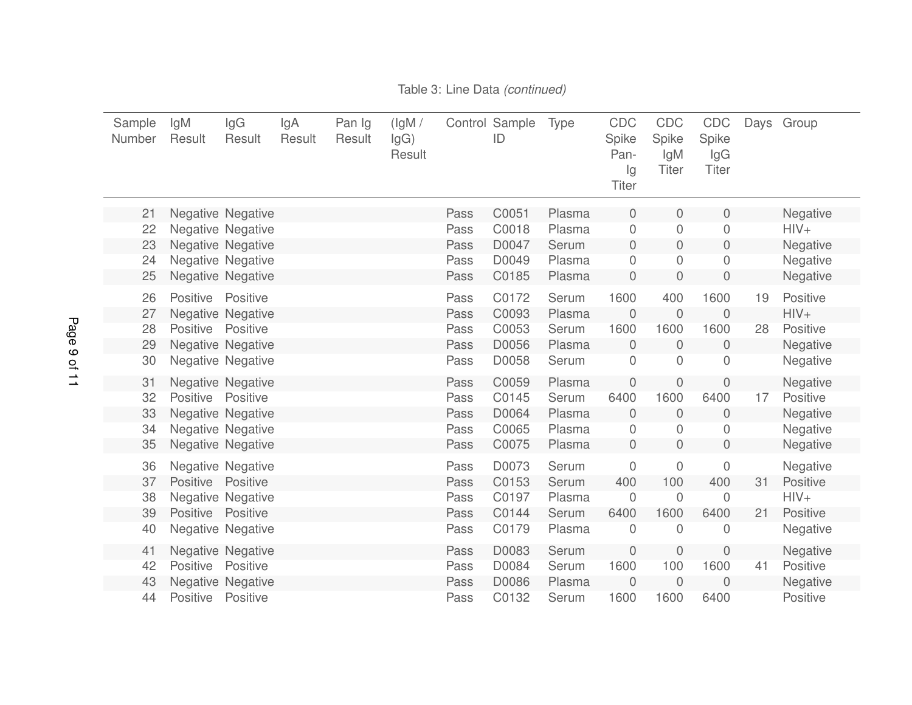| Sample<br>Number | lgM<br>Result   | lgG<br>Result                 | lgA<br>Result | Pan Ig<br>Result | (lgM /<br>lgG)<br>Result |              | Control Sample<br>ID | <b>Type</b>     | CDC<br>Spike<br>Pan-<br>Ig<br><b>Titer</b> | CDC<br>Spike<br>IgM<br><b>Titer</b> | CDC<br>Spike<br>lgG<br><b>Titer</b> |    | Days Group         |
|------------------|-----------------|-------------------------------|---------------|------------------|--------------------------|--------------|----------------------|-----------------|--------------------------------------------|-------------------------------------|-------------------------------------|----|--------------------|
| 21               |                 | Negative Negative             |               |                  |                          | Pass         | C0051                | Plasma          | 0                                          | 0                                   | $\mathbf 0$                         |    | Negative           |
| 22               |                 | <b>Negative Negative</b>      |               |                  |                          | Pass         | C0018                | Plasma          | $\mathbf 0$                                | 0                                   | $\overline{0}$                      |    | $HIV+$             |
| 23               |                 | Negative Negative             |               |                  |                          | Pass         | D0047                | Serum           | $\mathbf 0$                                | 0                                   | $\mathbf 0$                         |    | Negative           |
| 24               |                 | <b>Negative Negative</b>      |               |                  |                          | Pass         | D0049                | Plasma          | 0                                          | 0                                   | 0                                   |    | Negative           |
| 25               |                 | Negative Negative             |               |                  |                          | Pass         | C0185                | Plasma          | $\mathbf 0$                                | $\boldsymbol{0}$                    | $\mathbf 0$                         |    | Negative           |
| 26<br>27         | Positive        | Positive<br>Negative Negative |               |                  |                          | Pass<br>Pass | C0172<br>C0093       | Serum<br>Plasma | 1600<br>$\overline{0}$                     | 400<br>0                            | 1600<br>$\mathbf 0$                 | 19 | Positive<br>$HIV+$ |
| 28               | Positive        | Positive                      |               |                  |                          | Pass         | C0053                | Serum           | 1600                                       | 1600                                | 1600                                | 28 | Positive           |
| 29               |                 | Negative Negative             |               |                  |                          | Pass         | D0056                | Plasma          | $\mathbf 0$                                | $\overline{0}$                      | $\boldsymbol{0}$                    |    | Negative           |
| 30               |                 | Negative Negative             |               |                  |                          | Pass         | D0058                | Serum           | $\mathbf 0$                                | 0                                   | 0                                   |    | Negative           |
| 31               |                 | <b>Negative Negative</b>      |               |                  |                          | Pass         | C0059                | Plasma          | $\theta$                                   | 0                                   | $\overline{0}$                      |    | Negative           |
| 32               | Positive        | Positive                      |               |                  |                          | Pass         | C0145                | Serum           | 6400                                       | 1600                                | 6400                                | 17 | Positive           |
| 33               |                 | Negative Negative             |               |                  |                          | Pass         | D0064                | Plasma          | $\mathbf 0$                                | $\mathsf{O}\xspace$                 | $\mathbf 0$                         |    | Negative           |
| 34               |                 | <b>Negative Negative</b>      |               |                  |                          | Pass         | C0065                | Plasma          | 0                                          | 0                                   | 0                                   |    | Negative           |
| 35               |                 | Negative Negative             |               |                  |                          | Pass         | C0075                | Plasma          | $\mathbf 0$                                | $\overline{0}$                      | $\mathbf 0$                         |    | Negative           |
| 36               |                 | Negative Negative             |               |                  |                          | Pass         | D0073                | Serum           | $\mathbf 0$                                | $\mathsf{O}\xspace$                 | $\mathsf{O}\xspace$                 |    | Negative           |
| 37               | Positive        | Positive                      |               |                  |                          | Pass         | C0153                | Serum           | 400                                        | 100                                 | 400                                 | 31 | Positive           |
| 38               |                 | <b>Negative Negative</b>      |               |                  |                          | Pass         | C0197                | Plasma          | $\overline{0}$                             | $\mathbf 0$                         | 0                                   |    | $HIV+$             |
| 39               | Positive        | Positive                      |               |                  |                          | Pass         | C0144                | Serum           | 6400                                       | 1600                                | 6400                                | 21 | Positive           |
| 40               |                 | Negative Negative             |               |                  |                          | Pass         | C0179                | Plasma          | $\mathbf 0$                                | $\mathbf 0$                         | 0                                   |    | Negative           |
| 41               |                 | Negative Negative             |               |                  |                          | Pass         | D0083                | Serum           | $\overline{0}$                             | $\overline{0}$                      | $\mathbf 0$                         |    | Negative           |
| 42               | <b>Positive</b> | Positive                      |               |                  |                          | Pass         | D0084                | Serum           | 1600                                       | 100                                 | 1600                                | 41 | Positive           |
| 43               |                 | Negative Negative             |               |                  |                          | Pass         | D0086                | Plasma          | $\theta$                                   | 0                                   | $\mathbf 0$                         |    | Negative           |
| 44               | Positive        | Positive                      |               |                  |                          | Pass         | C0132                | Serum           | 1600                                       | 1600                                | 6400                                |    | Positive           |

Table 3: Line Data *(continued)*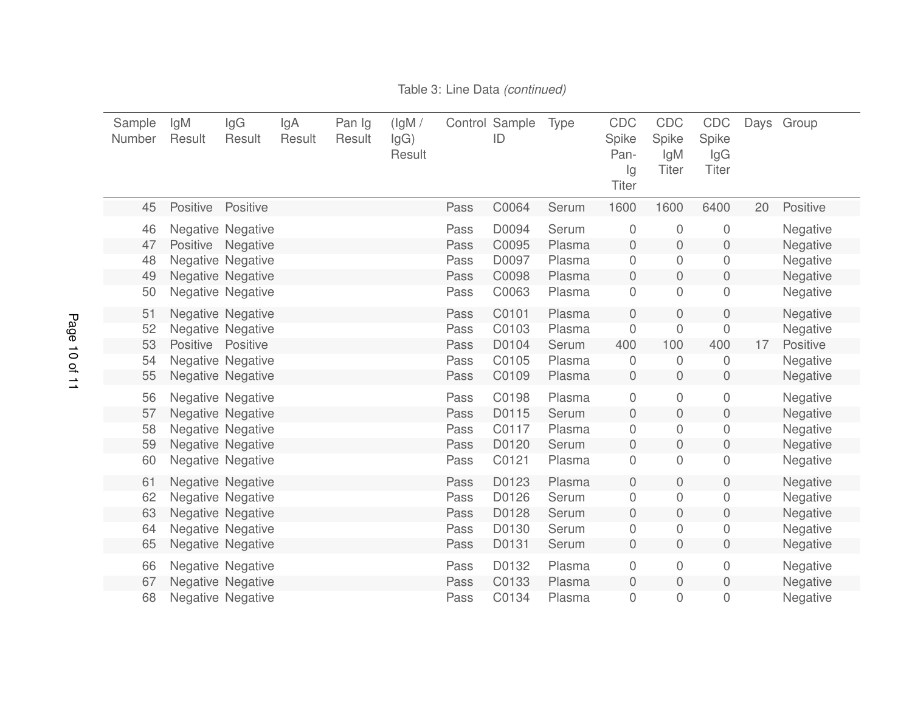| Sample<br>Number | lgM<br>Result     | lgG<br>Result            | lgA<br>Result | Pan Ig<br>Result | (IgM /<br>lgG)<br>Result |      | Control Sample<br>ID | Type   | CDC<br>Spike<br>Pan-<br>lg<br><b>Titer</b> | CDC<br>Spike<br>lgM<br><b>Titer</b> | CDC<br>Spike<br>lgG<br><b>Titer</b> | Days | Group    |
|------------------|-------------------|--------------------------|---------------|------------------|--------------------------|------|----------------------|--------|--------------------------------------------|-------------------------------------|-------------------------------------|------|----------|
| 45               | Positive          | Positive                 |               |                  |                          | Pass | C0064                | Serum  | 1600                                       | 1600                                | 6400                                | 20   | Positive |
| 46               |                   | Negative Negative        |               |                  |                          | Pass | D0094                | Serum  | $\mathbf 0$                                | $\mathbf 0$                         | 0                                   |      | Negative |
| 47               | Positive          | Negative                 |               |                  |                          | Pass | C0095                | Plasma | $\mathbf 0$                                | $\mathbf 0$                         | $\mathbf 0$                         |      | Negative |
| 48               |                   | <b>Negative Negative</b> |               |                  |                          | Pass | D0097                | Plasma | $\overline{0}$                             | 0                                   | 0                                   |      | Negative |
| 49               |                   | Negative Negative        |               |                  |                          | Pass | C0098                | Plasma | $\boldsymbol{0}$                           | $\boldsymbol{0}$                    | $\mathbf 0$                         |      | Negative |
| 50               |                   | Negative Negative        |               |                  |                          | Pass | C0063                | Plasma | $\overline{0}$                             | $\overline{0}$                      | 0                                   |      | Negative |
| 51               |                   | Negative Negative        |               |                  |                          | Pass | C0101                | Plasma | $\mathbf 0$                                | $\overline{0}$                      | $\mathbf 0$                         |      | Negative |
| 52               |                   | <b>Negative Negative</b> |               |                  |                          | Pass | C0103                | Plasma | $\mathbf 0$                                | $\mathbf 0$                         | 0                                   |      | Negative |
| 53               | Positive Positive |                          |               |                  |                          | Pass | D0104                | Serum  | 400                                        | 100                                 | 400                                 | 17   | Positive |
| 54               |                   | Negative Negative        |               |                  |                          | Pass | C0105                | Plasma | $\theta$                                   | 0                                   | 0                                   |      | Negative |
| 55               |                   | Negative Negative        |               |                  |                          | Pass | C0109                | Plasma | $\mathbf 0$                                | $\boldsymbol{0}$                    | $\mathbf 0$                         |      | Negative |
| 56               |                   | Negative Negative        |               |                  |                          | Pass | C0198                | Plasma | $\mathbf 0$                                | $\mathbf 0$                         | $\mathbf 0$                         |      | Negative |
| 57               |                   | <b>Negative Negative</b> |               |                  |                          | Pass | D0115                | Serum  | $\mathbf 0$                                | $\overline{0}$                      | $\mathbf 0$                         |      | Negative |
| 58               |                   | Negative Negative        |               |                  |                          | Pass | C0117                | Plasma | 0                                          | 0                                   | 0                                   |      | Negative |
| 59               |                   | Negative Negative        |               |                  |                          | Pass | D0120                | Serum  | $\mathbf 0$                                | $\boldsymbol{0}$                    | $\mathbf 0$                         |      | Negative |
| 60               |                   | Negative Negative        |               |                  |                          | Pass | C0121                | Plasma | $\boldsymbol{0}$                           | $\mathbf 0$                         | $\mathbf 0$                         |      | Negative |
| 61               |                   | <b>Negative Negative</b> |               |                  |                          | Pass | D0123                | Plasma | $\overline{0}$                             | $\overline{0}$                      | $\mathbf 0$                         |      | Negative |
| 62               |                   | <b>Negative Negative</b> |               |                  |                          | Pass | D0126                | Serum  | $\boldsymbol{0}$                           | 0                                   | 0                                   |      | Negative |
| 63               |                   | Negative Negative        |               |                  |                          | Pass | D0128                | Serum  | $\mathbf 0$                                | $\mathbf 0$                         | $\boldsymbol{0}$                    |      | Negative |
| 64               |                   | Negative Negative        |               |                  |                          | Pass | D0130                | Serum  | $\boldsymbol{0}$                           | 0                                   | 0                                   |      | Negative |
| 65               |                   | Negative Negative        |               |                  |                          | Pass | D0131                | Serum  | $\mathbf 0$                                | $\overline{0}$                      | $\mathbf 0$                         |      | Negative |
| 66               |                   | Negative Negative        |               |                  |                          | Pass | D0132                | Plasma | $\mathbf 0$                                | $\boldsymbol{0}$                    | $\mathbf 0$                         |      | Negative |
| 67               |                   | Negative Negative        |               |                  |                          | Pass | C0133                | Plasma | $\boldsymbol{0}$                           | $\boldsymbol{0}$                    | $\boldsymbol{0}$                    |      | Negative |
| 68               |                   | <b>Negative Negative</b> |               |                  |                          | Pass | C0134                | Plasma | $\boldsymbol{0}$                           | 0                                   | 0                                   |      | Negative |

#### Table 3: Line Data *(continued)*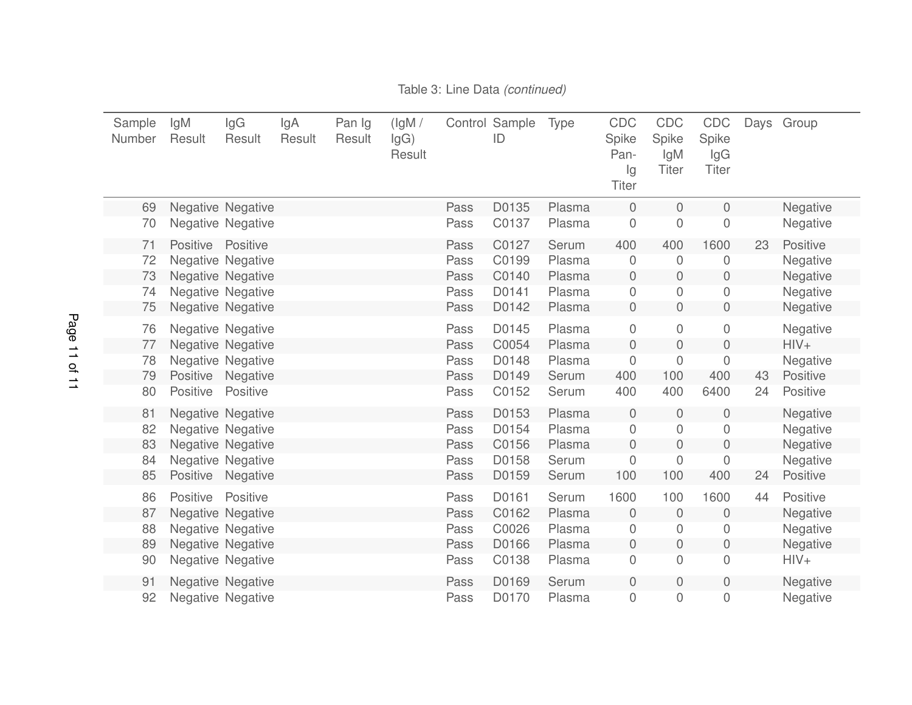<span id="page-10-0"></span>

| Sample<br>Number | lgM<br>Result   | lgG<br>Result            | lgA<br>Result | Pan Ig<br>Result | (lgM /<br>lgG)<br>Result |      | Control Sample<br>ID | Type   | CDC<br>Spike<br>Pan-<br>Ig<br><b>Titer</b> | <b>CDC</b><br>Spike<br>lgM<br><b>Titer</b> | CDC<br>Spike<br>lgG<br><b>Titer</b> |    | Days Group |
|------------------|-----------------|--------------------------|---------------|------------------|--------------------------|------|----------------------|--------|--------------------------------------------|--------------------------------------------|-------------------------------------|----|------------|
| 69               |                 | <b>Negative Negative</b> |               |                  |                          | Pass | D0135                | Plasma | $\overline{0}$                             | 0                                          | $\mathbf 0$                         |    | Negative   |
| 70               |                 | Negative Negative        |               |                  |                          | Pass | C0137                | Plasma | $\mathbf 0$                                | 0                                          | 0                                   |    | Negative   |
| 71               | Positive        | Positive                 |               |                  |                          | Pass | C0127                | Serum  | 400                                        | 400                                        | 1600                                | 23 | Positive   |
| 72               |                 | Negative Negative        |               |                  |                          | Pass | C0199                | Plasma | $\mathbf 0$                                | 0                                          | 0                                   |    | Negative   |
| 73               |                 | Negative Negative        |               |                  |                          | Pass | C0140                | Plasma | $\mathbf 0$                                | $\mathbf 0$                                | $\mathbf 0$                         |    | Negative   |
| 74               |                 | <b>Negative Negative</b> |               |                  |                          | Pass | D0141                | Plasma | $\mathbf 0$                                | 0                                          | 0                                   |    | Negative   |
| 75               |                 | Negative Negative        |               |                  |                          | Pass | D0142                | Plasma | $\mathbf 0$                                | $\overline{0}$                             | $\mathbf 0$                         |    | Negative   |
| 76               |                 | Negative Negative        |               |                  |                          | Pass | D0145                | Plasma | $\mathbf 0$                                | $\overline{0}$                             | $\mathbf 0$                         |    | Negative   |
| 77               |                 | Negative Negative        |               |                  |                          | Pass | C0054                | Plasma | $\overline{0}$                             | 0                                          | $\mathbf 0$                         |    | $HIV+$     |
| 78               |                 | Negative Negative        |               |                  |                          | Pass | D0148                | Plasma | $\mathbf 0$                                | 0                                          | 0                                   |    | Negative   |
| 79               | <b>Positive</b> | Negative                 |               |                  |                          | Pass | D0149                | Serum  | 400                                        | 100                                        | 400                                 | 43 | Positive   |
| 80               | Positive        | Positive                 |               |                  |                          | Pass | C0152                | Serum  | 400                                        | 400                                        | 6400                                | 24 | Positive   |
| 81               |                 | Negative Negative        |               |                  |                          | Pass | D0153                | Plasma | $\overline{0}$                             | 0                                          | $\mathbf 0$                         |    | Negative   |
| 82               |                 | Negative Negative        |               |                  |                          | Pass | D0154                | Plasma | $\mathbf 0$                                | 0                                          | 0                                   |    | Negative   |
| 83               |                 | Negative Negative        |               |                  |                          | Pass | C0156                | Plasma | $\mathbf 0$                                | 0                                          | $\overline{0}$                      |    | Negative   |
| 84               |                 | Negative Negative        |               |                  |                          | Pass | D0158                | Serum  | 0                                          | 0                                          | $\mathbf 0$                         |    | Negative   |
| 85               | Positive        | Negative                 |               |                  |                          | Pass | D0159                | Serum  | 100                                        | 100                                        | 400                                 | 24 | Positive   |
| 86               | Positive        | Positive                 |               |                  |                          | Pass | D0161                | Serum  | 1600                                       | 100                                        | 1600                                | 44 | Positive   |
| 87               |                 | Negative Negative        |               |                  |                          | Pass | C0162                | Plasma | $\overline{0}$                             | $\mathbf 0$                                | $\theta$                            |    | Negative   |
| 88               |                 | Negative Negative        |               |                  |                          | Pass | C0026                | Plasma | $\boldsymbol{0}$                           | 0                                          | 0                                   |    | Negative   |
| 89               |                 | Negative Negative        |               |                  |                          | Pass | D0166                | Plasma | $\mathbf 0$                                | 0                                          | $\mathbf 0$                         |    | Negative   |
| 90               |                 | Negative Negative        |               |                  |                          | Pass | C0138                | Plasma | 0                                          | 0                                          | $\mathbf 0$                         |    | $HIV+$     |
| 91               |                 | Negative Negative        |               |                  |                          | Pass | D0169                | Serum  | $\boldsymbol{0}$                           | 0                                          | $\mathbf 0$                         |    | Negative   |
| 92               |                 | <b>Negative Negative</b> |               |                  |                          | Pass | D0170                | Plasma | 0                                          | 0                                          | 0                                   |    | Negative   |

#### <span id="page-10-1"></span>Table 3: Line Data *(continued)*